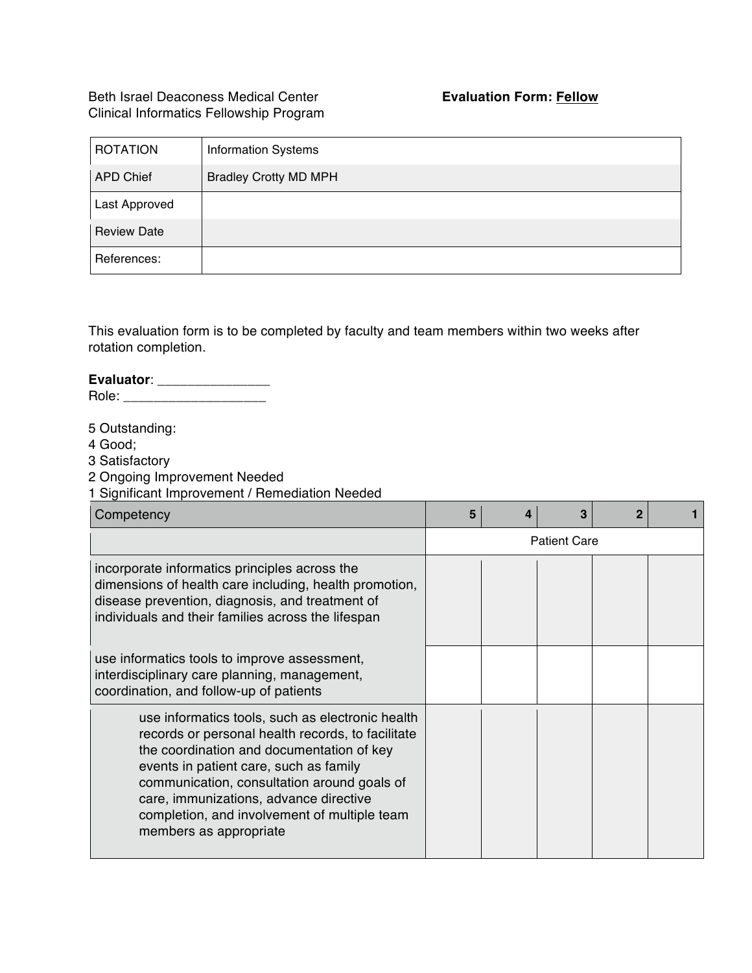## Beth Israel Deaconess Medical Center **Evaluation Form: Fellow** Clinical Informatics Fellowship Program

| <b>ROTATION</b>    | <b>Information Systems</b>   |
|--------------------|------------------------------|
| <b>APD Chief</b>   | <b>Bradley Crotty MD MPH</b> |
| Last Approved      |                              |
| <b>Review Date</b> |                              |
| References:        |                              |

This evaluation form is to be completed by faculty and team members within two weeks after rotation completion.

## **Evaluator**: \_\_\_\_\_\_\_\_\_\_\_\_\_\_\_

Role: \_\_\_\_\_\_\_\_\_\_\_\_\_\_\_\_\_\_\_

5 Outstanding:

4 Good;

3 Satisfactory

2 Ongoing Improvement Needed

1 Significant Improvement / Remediation Needed

| Competency                                                                                                                                                                                                                                                                                                                                                      | 5                   |  | 3 |  |  |
|-----------------------------------------------------------------------------------------------------------------------------------------------------------------------------------------------------------------------------------------------------------------------------------------------------------------------------------------------------------------|---------------------|--|---|--|--|
|                                                                                                                                                                                                                                                                                                                                                                 | <b>Patient Care</b> |  |   |  |  |
| incorporate informatics principles across the<br>dimensions of health care including, health promotion,<br>disease prevention, diagnosis, and treatment of<br>individuals and their families across the lifespan                                                                                                                                                |                     |  |   |  |  |
| use informatics tools to improve assessment,<br>interdisciplinary care planning, management,<br>coordination, and follow-up of patients                                                                                                                                                                                                                         |                     |  |   |  |  |
| use informatics tools, such as electronic health<br>records or personal health records, to facilitate<br>the coordination and documentation of key<br>events in patient care, such as family<br>communication, consultation around goals of<br>care, immunizations, advance directive<br>completion, and involvement of multiple team<br>members as appropriate |                     |  |   |  |  |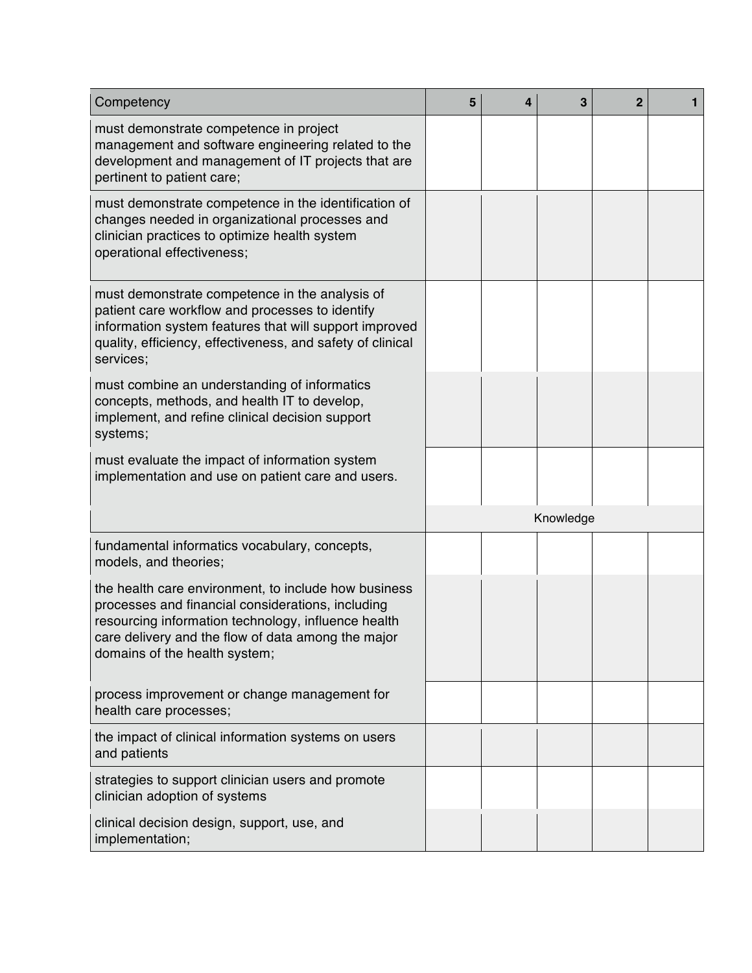| Competency                                                                                                                                                                                                                                              |  | 4 | 3         | $\mathbf{2}$ | $\mathbf{1}$ |
|---------------------------------------------------------------------------------------------------------------------------------------------------------------------------------------------------------------------------------------------------------|--|---|-----------|--------------|--------------|
| must demonstrate competence in project<br>management and software engineering related to the<br>development and management of IT projects that are<br>pertinent to patient care;                                                                        |  |   |           |              |              |
| must demonstrate competence in the identification of<br>changes needed in organizational processes and<br>clinician practices to optimize health system<br>operational effectiveness;                                                                   |  |   |           |              |              |
| must demonstrate competence in the analysis of<br>patient care workflow and processes to identify<br>information system features that will support improved<br>quality, efficiency, effectiveness, and safety of clinical<br>services;                  |  |   |           |              |              |
| must combine an understanding of informatics<br>concepts, methods, and health IT to develop,<br>implement, and refine clinical decision support<br>systems;                                                                                             |  |   |           |              |              |
| must evaluate the impact of information system<br>implementation and use on patient care and users.                                                                                                                                                     |  |   |           |              |              |
|                                                                                                                                                                                                                                                         |  |   | Knowledge |              |              |
| fundamental informatics vocabulary, concepts,<br>models, and theories;                                                                                                                                                                                  |  |   |           |              |              |
| the health care environment, to include how business<br>processes and financial considerations, including<br>resourcing information technology, influence health<br>care delivery and the flow of data among the major<br>domains of the health system; |  |   |           |              |              |
| process improvement or change management for<br>health care processes;                                                                                                                                                                                  |  |   |           |              |              |
| the impact of clinical information systems on users<br>and patients                                                                                                                                                                                     |  |   |           |              |              |
|                                                                                                                                                                                                                                                         |  |   |           |              |              |
| strategies to support clinician users and promote<br>clinician adoption of systems                                                                                                                                                                      |  |   |           |              |              |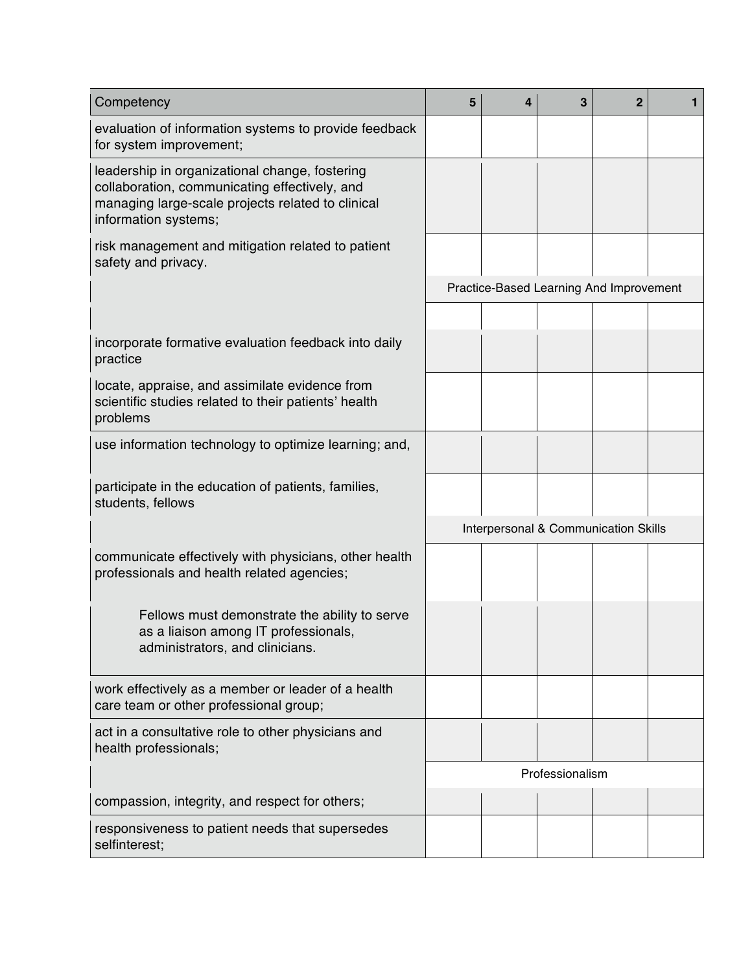| Competency                                                                                                                                                                   |  | 4                                    | 3               | $\overline{2}$                          | 1 |  |
|------------------------------------------------------------------------------------------------------------------------------------------------------------------------------|--|--------------------------------------|-----------------|-----------------------------------------|---|--|
| evaluation of information systems to provide feedback<br>for system improvement;                                                                                             |  |                                      |                 |                                         |   |  |
| leadership in organizational change, fostering<br>collaboration, communicating effectively, and<br>managing large-scale projects related to clinical<br>information systems; |  |                                      |                 |                                         |   |  |
| risk management and mitigation related to patient<br>safety and privacy.                                                                                                     |  |                                      |                 |                                         |   |  |
|                                                                                                                                                                              |  |                                      |                 | Practice-Based Learning And Improvement |   |  |
|                                                                                                                                                                              |  |                                      |                 |                                         |   |  |
| incorporate formative evaluation feedback into daily<br>practice                                                                                                             |  |                                      |                 |                                         |   |  |
| locate, appraise, and assimilate evidence from<br>scientific studies related to their patients' health<br>problems                                                           |  |                                      |                 |                                         |   |  |
| use information technology to optimize learning; and,                                                                                                                        |  |                                      |                 |                                         |   |  |
| participate in the education of patients, families,<br>students, fellows                                                                                                     |  |                                      |                 |                                         |   |  |
|                                                                                                                                                                              |  | Interpersonal & Communication Skills |                 |                                         |   |  |
| communicate effectively with physicians, other health<br>professionals and health related agencies;                                                                          |  |                                      |                 |                                         |   |  |
| Fellows must demonstrate the ability to serve<br>as a liaison among IT professionals,<br>administrators, and clinicians.                                                     |  |                                      |                 |                                         |   |  |
| work effectively as a member or leader of a health<br>care team or other professional group;                                                                                 |  |                                      |                 |                                         |   |  |
| act in a consultative role to other physicians and<br>health professionals;                                                                                                  |  |                                      |                 |                                         |   |  |
|                                                                                                                                                                              |  |                                      | Professionalism |                                         |   |  |
| compassion, integrity, and respect for others;                                                                                                                               |  |                                      |                 |                                         |   |  |
| responsiveness to patient needs that supersedes<br>selfinterest;                                                                                                             |  |                                      |                 |                                         |   |  |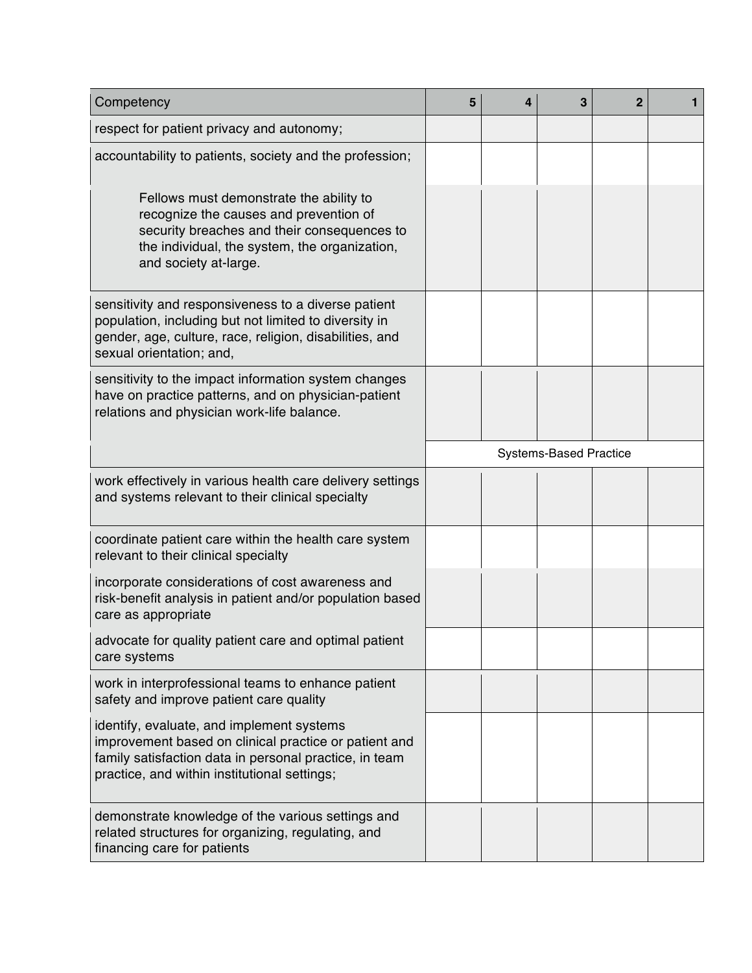| Competency                                                                                                                                                                                                   |  | 4                             | 3 | $\overline{2}$ | $\mathbf{1}$ |  |
|--------------------------------------------------------------------------------------------------------------------------------------------------------------------------------------------------------------|--|-------------------------------|---|----------------|--------------|--|
| respect for patient privacy and autonomy;                                                                                                                                                                    |  |                               |   |                |              |  |
| accountability to patients, society and the profession;                                                                                                                                                      |  |                               |   |                |              |  |
| Fellows must demonstrate the ability to<br>recognize the causes and prevention of<br>security breaches and their consequences to<br>the individual, the system, the organization,<br>and society at-large.   |  |                               |   |                |              |  |
| sensitivity and responsiveness to a diverse patient<br>population, including but not limited to diversity in<br>gender, age, culture, race, religion, disabilities, and<br>sexual orientation; and,          |  |                               |   |                |              |  |
| sensitivity to the impact information system changes<br>have on practice patterns, and on physician-patient<br>relations and physician work-life balance.                                                    |  |                               |   |                |              |  |
|                                                                                                                                                                                                              |  | <b>Systems-Based Practice</b> |   |                |              |  |
| work effectively in various health care delivery settings<br>and systems relevant to their clinical specialty                                                                                                |  |                               |   |                |              |  |
| coordinate patient care within the health care system<br>relevant to their clinical specialty                                                                                                                |  |                               |   |                |              |  |
| incorporate considerations of cost awareness and<br>risk-benefit analysis in patient and/or population based<br>care as appropriate                                                                          |  |                               |   |                |              |  |
| advocate for quality patient care and optimal patient<br>care systems                                                                                                                                        |  |                               |   |                |              |  |
| work in interprofessional teams to enhance patient<br>safety and improve patient care quality                                                                                                                |  |                               |   |                |              |  |
| identify, evaluate, and implement systems<br>improvement based on clinical practice or patient and<br>family satisfaction data in personal practice, in team<br>practice, and within institutional settings; |  |                               |   |                |              |  |
| demonstrate knowledge of the various settings and<br>related structures for organizing, regulating, and<br>financing care for patients                                                                       |  |                               |   |                |              |  |